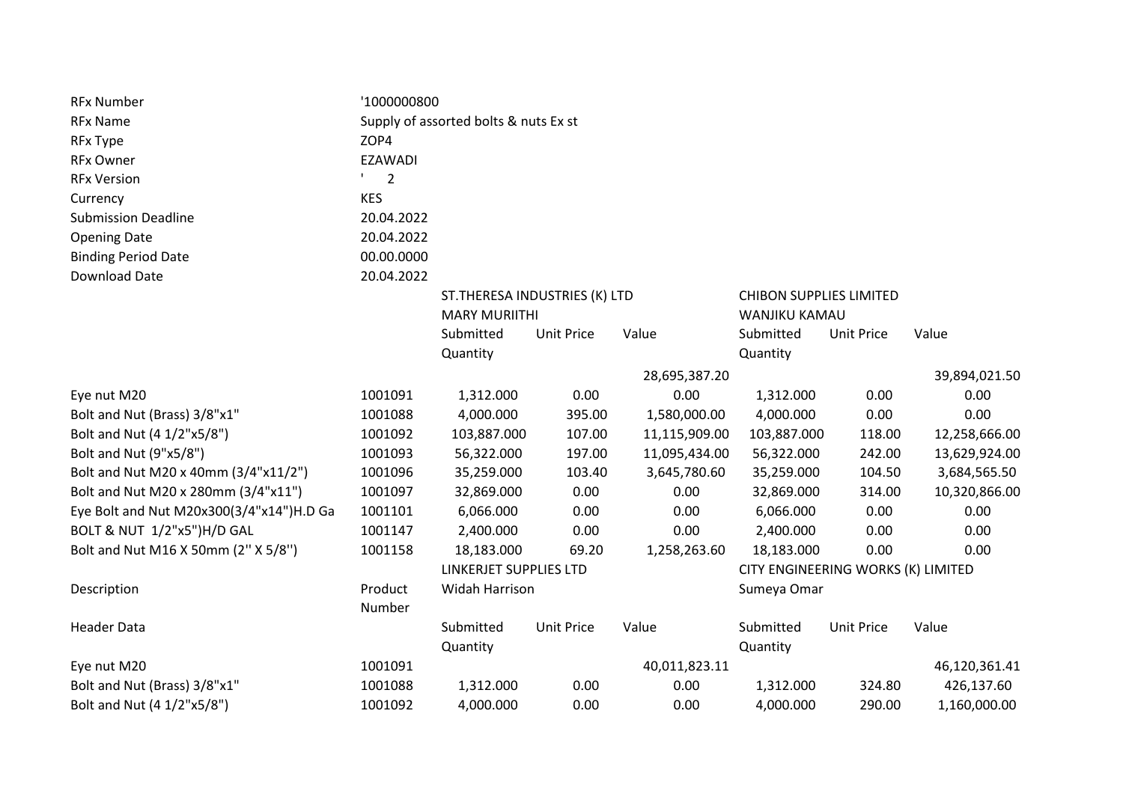| <b>RFx Number</b>                        | '1000000800                           |                                                                                                           |                   |               |                                    |                   |               |  |
|------------------------------------------|---------------------------------------|-----------------------------------------------------------------------------------------------------------|-------------------|---------------|------------------------------------|-------------------|---------------|--|
| <b>RFx Name</b>                          | Supply of assorted bolts & nuts Ex st |                                                                                                           |                   |               |                                    |                   |               |  |
| <b>RFx Type</b>                          | ZOP4                                  |                                                                                                           |                   |               |                                    |                   |               |  |
| <b>RFx Owner</b>                         | <b>EZAWADI</b>                        |                                                                                                           |                   |               |                                    |                   |               |  |
| <b>RFx Version</b>                       | $\overline{2}$                        |                                                                                                           |                   |               |                                    |                   |               |  |
| Currency                                 | <b>KES</b>                            |                                                                                                           |                   |               |                                    |                   |               |  |
| <b>Submission Deadline</b>               | 20.04.2022                            |                                                                                                           |                   |               |                                    |                   |               |  |
| <b>Opening Date</b>                      | 20.04.2022                            |                                                                                                           |                   |               |                                    |                   |               |  |
| <b>Binding Period Date</b>               | 00.00.0000                            |                                                                                                           |                   |               |                                    |                   |               |  |
| <b>Download Date</b>                     | 20.04.2022                            |                                                                                                           |                   |               |                                    |                   |               |  |
|                                          |                                       | ST. THERESA INDUSTRIES (K) LTD<br><b>CHIBON SUPPLIES LIMITED</b><br><b>MARY MURIITHI</b><br>WANJIKU KAMAU |                   |               |                                    |                   |               |  |
|                                          |                                       | Submitted                                                                                                 | <b>Unit Price</b> | Value         | Submitted                          | <b>Unit Price</b> | Value         |  |
|                                          |                                       | Quantity                                                                                                  |                   |               | Quantity                           |                   |               |  |
|                                          |                                       |                                                                                                           |                   | 28,695,387.20 |                                    |                   | 39,894,021.50 |  |
| Eye nut M20                              | 1001091                               | 1,312.000                                                                                                 | 0.00              | 0.00          | 1,312.000                          | 0.00              | 0.00          |  |
| Bolt and Nut (Brass) 3/8"x1"             | 1001088                               | 4,000.000                                                                                                 | 395.00            | 1,580,000.00  | 4,000.000                          | 0.00              | 0.00          |  |
| Bolt and Nut (4 1/2"x5/8")               | 1001092                               | 103,887.000                                                                                               | 107.00            | 11,115,909.00 | 103,887.000                        | 118.00            | 12,258,666.00 |  |
| Bolt and Nut (9"x5/8")                   | 1001093                               | 56,322.000                                                                                                | 197.00            | 11,095,434.00 | 56,322.000                         | 242.00            | 13,629,924.00 |  |
| Bolt and Nut M20 x 40mm (3/4"x11/2")     | 1001096                               | 35,259.000                                                                                                | 103.40            | 3,645,780.60  | 35,259.000                         | 104.50            | 3,684,565.50  |  |
| Bolt and Nut M20 x 280mm (3/4"x11")      | 1001097                               | 32,869.000                                                                                                | 0.00              | 0.00          | 32,869.000                         | 314.00            | 10,320,866.00 |  |
| Eye Bolt and Nut M20x300(3/4"x14")H.D Ga | 1001101                               | 6,066.000                                                                                                 | 0.00              | 0.00          | 6,066.000                          | 0.00              | 0.00          |  |
| BOLT & NUT 1/2"x5")H/D GAL               | 1001147                               | 2,400.000                                                                                                 | 0.00              | 0.00          | 2,400.000                          | 0.00              | 0.00          |  |
| Bolt and Nut M16 X 50mm (2" X 5/8")      | 1001158                               | 18,183.000                                                                                                | 69.20             | 1,258,263.60  | 18,183.000                         | 0.00              | 0.00          |  |
|                                          |                                       | LINKERJET SUPPLIES LTD                                                                                    |                   |               | CITY ENGINEERING WORKS (K) LIMITED |                   |               |  |
| Description                              | Product                               | <b>Widah Harrison</b>                                                                                     |                   |               | Sumeya Omar                        |                   |               |  |
|                                          | Number                                |                                                                                                           |                   |               |                                    |                   |               |  |
| <b>Header Data</b>                       |                                       | Submitted                                                                                                 | <b>Unit Price</b> | Value         | Submitted                          | <b>Unit Price</b> | Value         |  |
|                                          |                                       | Quantity                                                                                                  |                   |               | Quantity                           |                   |               |  |
| Eye nut M20                              | 1001091                               |                                                                                                           |                   | 40,011,823.11 |                                    |                   | 46,120,361.41 |  |
| Bolt and Nut (Brass) 3/8"x1"             | 1001088                               | 1,312.000                                                                                                 | 0.00              | 0.00          | 1,312.000                          | 324.80            | 426,137.60    |  |
| Bolt and Nut (4 1/2"x5/8")               | 1001092                               | 4,000.000                                                                                                 | 0.00              | 0.00          | 4,000.000                          | 290.00            | 1,160,000.00  |  |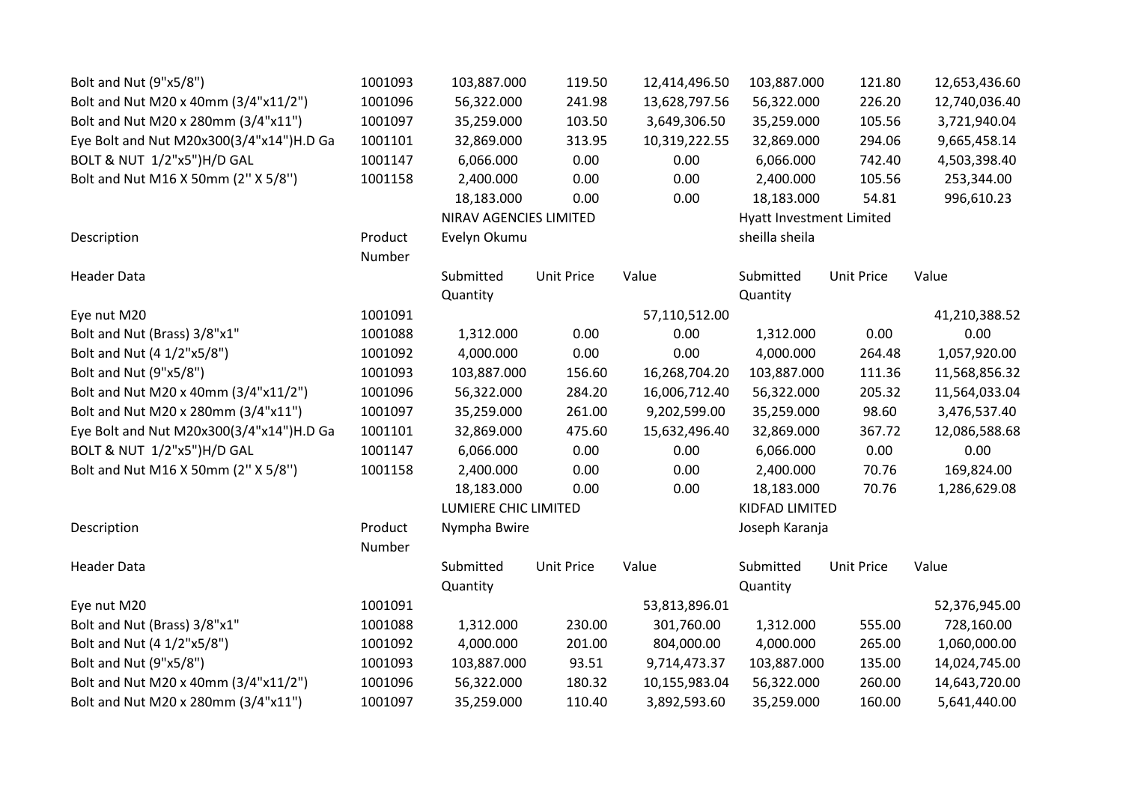| Bolt and Nut (9"x5/8")                   | 1001093 | 103,887.000            | 119.50            | 12,414,496.50            | 103,887.000    | 121.80            | 12,653,436.60 |
|------------------------------------------|---------|------------------------|-------------------|--------------------------|----------------|-------------------|---------------|
| Bolt and Nut M20 x 40mm (3/4"x11/2")     | 1001096 | 56,322.000             | 241.98            | 13,628,797.56            | 56,322.000     | 226.20            | 12,740,036.40 |
| Bolt and Nut M20 x 280mm (3/4"x11")      | 1001097 | 35,259.000             | 103.50            | 3,649,306.50             | 35,259.000     | 105.56            | 3,721,940.04  |
| Eye Bolt and Nut M20x300(3/4"x14")H.D Ga | 1001101 | 32,869.000             | 313.95            | 10,319,222.55            | 32,869.000     | 294.06            | 9,665,458.14  |
| BOLT & NUT 1/2"x5")H/D GAL               | 1001147 | 6,066.000              | 0.00              | 0.00                     | 6,066.000      | 742.40            | 4,503,398.40  |
| Bolt and Nut M16 X 50mm (2" X 5/8")      | 1001158 | 2,400.000              | 0.00              | 0.00                     | 2,400.000      | 105.56            | 253,344.00    |
|                                          |         | 18,183.000             | 0.00              | 0.00                     | 18,183.000     | 54.81             | 996,610.23    |
|                                          |         | NIRAV AGENCIES LIMITED |                   | Hyatt Investment Limited |                |                   |               |
| Description                              | Product | Evelyn Okumu           |                   |                          | sheilla sheila |                   |               |
|                                          | Number  |                        |                   |                          |                |                   |               |
| <b>Header Data</b>                       |         | Submitted              | <b>Unit Price</b> | Value                    | Submitted      | <b>Unit Price</b> | Value         |
|                                          |         | Quantity               |                   |                          | Quantity       |                   |               |
| Eye nut M20                              | 1001091 |                        |                   | 57,110,512.00            |                |                   | 41,210,388.52 |
| Bolt and Nut (Brass) 3/8"x1"             | 1001088 | 1,312.000              | 0.00              | 0.00                     | 1,312.000      | 0.00              | 0.00          |
| Bolt and Nut (4 1/2"x5/8")               | 1001092 | 4,000.000              | 0.00              | 0.00                     | 4,000.000      | 264.48            | 1,057,920.00  |
| Bolt and Nut (9"x5/8")                   | 1001093 | 103,887.000            | 156.60            | 16,268,704.20            | 103,887.000    | 111.36            | 11,568,856.32 |
| Bolt and Nut M20 x 40mm (3/4"x11/2")     | 1001096 | 56,322.000             | 284.20            | 16,006,712.40            | 56,322.000     | 205.32            | 11,564,033.04 |
| Bolt and Nut M20 x 280mm (3/4"x11")      | 1001097 | 35,259.000             | 261.00            | 9,202,599.00             | 35,259.000     | 98.60             | 3,476,537.40  |
| Eye Bolt and Nut M20x300(3/4"x14")H.D Ga | 1001101 | 32,869.000             | 475.60            | 15,632,496.40            | 32,869.000     | 367.72            | 12,086,588.68 |
| BOLT & NUT 1/2"x5")H/D GAL               | 1001147 | 6,066.000              | 0.00              | 0.00                     | 6,066.000      | 0.00              | 0.00          |
| Bolt and Nut M16 X 50mm (2" X 5/8")      | 1001158 | 2,400.000              | 0.00              | 0.00                     | 2,400.000      | 70.76             | 169,824.00    |
|                                          |         | 18,183.000             | 0.00              | 0.00                     | 18,183.000     | 70.76             | 1,286,629.08  |
|                                          |         | LUMIERE CHIC LIMITED   |                   |                          | KIDFAD LIMITED |                   |               |
| Description                              | Product | Nympha Bwire           |                   |                          | Joseph Karanja |                   |               |
|                                          | Number  |                        |                   |                          |                |                   |               |
| <b>Header Data</b>                       |         | Submitted              | <b>Unit Price</b> | Value                    | Submitted      | <b>Unit Price</b> | Value         |
|                                          |         | Quantity               |                   |                          | Quantity       |                   |               |
| Eye nut M20                              | 1001091 |                        |                   | 53,813,896.01            |                |                   | 52,376,945.00 |
| Bolt and Nut (Brass) 3/8"x1"             | 1001088 | 1,312.000              | 230.00            | 301,760.00               | 1,312.000      | 555.00            | 728,160.00    |
| Bolt and Nut (4 1/2"x5/8")               | 1001092 | 4,000.000              | 201.00            | 804,000.00               | 4,000.000      | 265.00            | 1,060,000.00  |
| Bolt and Nut (9"x5/8")                   | 1001093 | 103,887.000            | 93.51             | 9,714,473.37             | 103,887.000    | 135.00            | 14,024,745.00 |
| Bolt and Nut M20 x 40mm (3/4"x11/2")     | 1001096 | 56,322.000             | 180.32            | 10,155,983.04            | 56,322.000     | 260.00            | 14,643,720.00 |
| Bolt and Nut M20 x 280mm (3/4"x11")      | 1001097 | 35,259.000             | 110.40            | 3,892,593.60             | 35,259.000     | 160.00            | 5,641,440.00  |